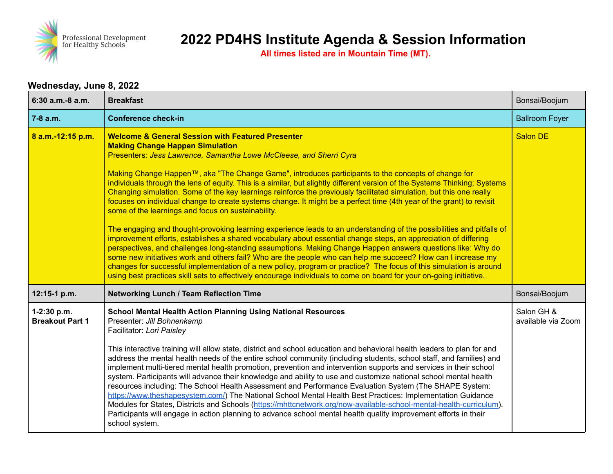

**All times listed are in Mountain Time (MT).**

#### **Wednesday, June 8, 2022**

| 6:30 a.m.-8 a.m.                      | <b>Breakfast</b>                                                                                                                                                                                                                                                                                                                                                                                                                                                                                                                                                                                                                                                                                                                                                                                                                                                                                                                                                                                                                                                                                                                                                                                                                                                                                                                                                                                                                               | Bonsai/Boojum                    |
|---------------------------------------|------------------------------------------------------------------------------------------------------------------------------------------------------------------------------------------------------------------------------------------------------------------------------------------------------------------------------------------------------------------------------------------------------------------------------------------------------------------------------------------------------------------------------------------------------------------------------------------------------------------------------------------------------------------------------------------------------------------------------------------------------------------------------------------------------------------------------------------------------------------------------------------------------------------------------------------------------------------------------------------------------------------------------------------------------------------------------------------------------------------------------------------------------------------------------------------------------------------------------------------------------------------------------------------------------------------------------------------------------------------------------------------------------------------------------------------------|----------------------------------|
| $7-8$ a.m.                            | <b>Conference check-in</b>                                                                                                                                                                                                                                                                                                                                                                                                                                                                                                                                                                                                                                                                                                                                                                                                                                                                                                                                                                                                                                                                                                                                                                                                                                                                                                                                                                                                                     | <b>Ballroom Foyer</b>            |
| 8 a.m.-12:15 p.m.                     | <b>Welcome &amp; General Session with Featured Presenter</b><br><b>Making Change Happen Simulation</b><br>Presenters: Jess Lawrence, Samantha Lowe McCleese, and Sherri Cyra<br>Making Change Happen™, aka "The Change Game", introduces participants to the concepts of change for<br>individuals through the lens of equity. This is a similar, but slightly different version of the Systems Thinking; Systems<br>Changing simulation. Some of the key learnings reinforce the previously facilitated simulation, but this one really<br>focuses on individual change to create systems change. It might be a perfect time (4th year of the grant) to revisit<br>some of the learnings and focus on sustainability.<br>The engaging and thought-provoking learning experience leads to an understanding of the possibilities and pitfalls of<br>improvement efforts, establishes a shared vocabulary about essential change steps, an appreciation of differing<br>perspectives, and challenges long-standing assumptions. Making Change Happen answers questions like: Why do<br>some new initiatives work and others fail? Who are the people who can help me succeed? How can I increase my<br>changes for successful implementation of a new policy, program or practice? The focus of this simulation is around<br>using best practices skill sets to effectively encourage individuals to come on board for your on-going initiative. | <b>Salon DE</b>                  |
| 12:15-1 p.m.                          | <b>Networking Lunch / Team Reflection Time</b>                                                                                                                                                                                                                                                                                                                                                                                                                                                                                                                                                                                                                                                                                                                                                                                                                                                                                                                                                                                                                                                                                                                                                                                                                                                                                                                                                                                                 | Bonsai/Boojum                    |
| 1-2:30 p.m.<br><b>Breakout Part 1</b> | <b>School Mental Health Action Planning Using National Resources</b><br>Presenter: Jill Bohnenkamp<br>Facilitator: Lori Paisley<br>This interactive training will allow state, district and school education and behavioral health leaders to plan for and<br>address the mental health needs of the entire school community (including students, school staff, and families) and<br>implement multi-tiered mental health promotion, prevention and intervention supports and services in their school<br>system. Participants will advance their knowledge and ability to use and customize national school mental health<br>resources including: The School Health Assessment and Performance Evaluation System (The SHAPE System:<br>https://www.theshapesystem.com/) The National School Mental Health Best Practices: Implementation Guidance<br>Modules for States, Districts and Schools (https://mhttcnetwork.org/now-available-school-mental-health-curriculum).<br>Participants will engage in action planning to advance school mental health quality improvement efforts in their<br>school system.                                                                                                                                                                                                                                                                                                                                | Salon GH &<br>available via Zoom |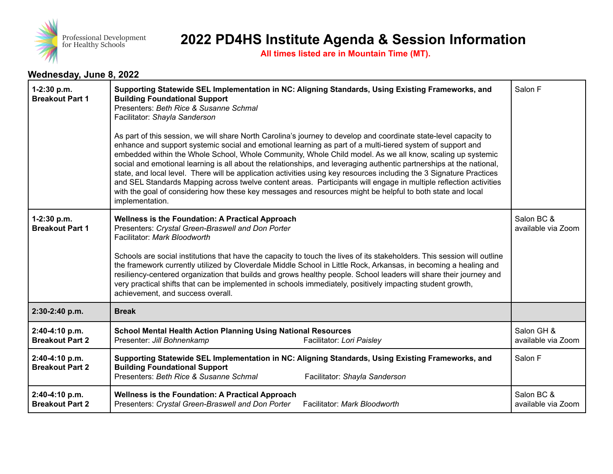

**All times listed are in Mountain Time (MT).**

#### **Wednesday, June 8, 2022**

| 1-2:30 p.m.<br><b>Breakout Part 1</b>    | Supporting Statewide SEL Implementation in NC: Aligning Standards, Using Existing Frameworks, and<br><b>Building Foundational Support</b><br>Presenters: Beth Rice & Susanne Schmal<br>Facilitator: Shayla Sanderson<br>As part of this session, we will share North Carolina's journey to develop and coordinate state-level capacity to<br>enhance and support systemic social and emotional learning as part of a multi-tiered system of support and<br>embedded within the Whole School, Whole Community, Whole Child model. As we all know, scaling up systemic<br>social and emotional learning is all about the relationships, and leveraging authentic partnerships at the national,<br>state, and local level. There will be application activities using key resources including the 3 Signature Practices<br>and SEL Standards Mapping across twelve content areas. Participants will engage in multiple reflection activities<br>with the goal of considering how these key messages and resources might be helpful to both state and local<br>implementation. | Salon F                          |
|------------------------------------------|----------------------------------------------------------------------------------------------------------------------------------------------------------------------------------------------------------------------------------------------------------------------------------------------------------------------------------------------------------------------------------------------------------------------------------------------------------------------------------------------------------------------------------------------------------------------------------------------------------------------------------------------------------------------------------------------------------------------------------------------------------------------------------------------------------------------------------------------------------------------------------------------------------------------------------------------------------------------------------------------------------------------------------------------------------------------------|----------------------------------|
| 1-2:30 p.m.<br><b>Breakout Part 1</b>    | Wellness is the Foundation: A Practical Approach<br>Presenters: Crystal Green-Braswell and Don Porter<br>Facilitator: Mark Bloodworth<br>Schools are social institutions that have the capacity to touch the lives of its stakeholders. This session will outline<br>the framework currently utilized by Cloverdale Middle School in Little Rock, Arkansas, in becoming a healing and<br>resiliency-centered organization that builds and grows healthy people. School leaders will share their journey and<br>very practical shifts that can be implemented in schools immediately, positively impacting student growth,<br>achievement, and success overall.                                                                                                                                                                                                                                                                                                                                                                                                             | Salon BC &<br>available via Zoom |
| 2:30-2:40 p.m.                           | <b>Break</b>                                                                                                                                                                                                                                                                                                                                                                                                                                                                                                                                                                                                                                                                                                                                                                                                                                                                                                                                                                                                                                                               |                                  |
| 2:40-4:10 p.m.<br><b>Breakout Part 2</b> | <b>School Mental Health Action Planning Using National Resources</b><br>Presenter: Jill Bohnenkamp<br>Facilitator: Lori Paisley                                                                                                                                                                                                                                                                                                                                                                                                                                                                                                                                                                                                                                                                                                                                                                                                                                                                                                                                            | Salon GH &<br>available via Zoom |
| 2:40-4:10 p.m.<br><b>Breakout Part 2</b> | Supporting Statewide SEL Implementation in NC: Aligning Standards, Using Existing Frameworks, and<br><b>Building Foundational Support</b><br>Presenters: Beth Rice & Susanne Schmal<br>Facilitator: Shayla Sanderson                                                                                                                                                                                                                                                                                                                                                                                                                                                                                                                                                                                                                                                                                                                                                                                                                                                       | Salon F                          |
| 2:40-4:10 p.m.<br><b>Breakout Part 2</b> | Wellness is the Foundation: A Practical Approach<br>Presenters: Crystal Green-Braswell and Don Porter<br>Facilitator: Mark Bloodworth                                                                                                                                                                                                                                                                                                                                                                                                                                                                                                                                                                                                                                                                                                                                                                                                                                                                                                                                      | Salon BC &<br>available via Zoom |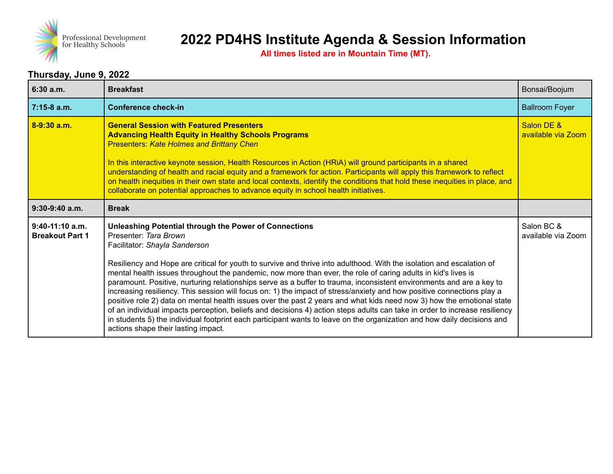

**All times listed are in Mountain Time (MT).**

#### **Thursday, June 9, 2022**

| 6:30a.m.                                    | <b>Breakfast</b>                                                                                                                                                                                                                                                                                                                                                                                                                                                                                                                                                                                                                                                                                                                                                                                                                                                                                                                                                                                                                            | Bonsai/Boojum                    |
|---------------------------------------------|---------------------------------------------------------------------------------------------------------------------------------------------------------------------------------------------------------------------------------------------------------------------------------------------------------------------------------------------------------------------------------------------------------------------------------------------------------------------------------------------------------------------------------------------------------------------------------------------------------------------------------------------------------------------------------------------------------------------------------------------------------------------------------------------------------------------------------------------------------------------------------------------------------------------------------------------------------------------------------------------------------------------------------------------|----------------------------------|
| $7:15-8$ a.m.                               | <b>Conference check-in</b>                                                                                                                                                                                                                                                                                                                                                                                                                                                                                                                                                                                                                                                                                                                                                                                                                                                                                                                                                                                                                  | <b>Ballroom Foyer</b>            |
| $8-9:30$ a.m.                               | <b>General Session with Featured Presenters</b><br><b>Advancing Health Equity in Healthy Schools Programs</b><br><b>Presenters: Kate Holmes and Brittany Chen</b><br>In this interactive keynote session, Health Resources in Action (HRiA) will ground participants in a shared<br>understanding of health and racial equity and a framework for action. Participants will apply this framework to reflect<br>on health inequities in their own state and local contexts, identify the conditions that hold these inequities in place, and<br>collaborate on potential approaches to advance equity in school health initiatives.                                                                                                                                                                                                                                                                                                                                                                                                          | Salon DE &<br>available via Zoom |
| $9:30-9:40$ a.m.                            | <b>Break</b>                                                                                                                                                                                                                                                                                                                                                                                                                                                                                                                                                                                                                                                                                                                                                                                                                                                                                                                                                                                                                                |                                  |
| $9:40-11:10$ a.m.<br><b>Breakout Part 1</b> | <b>Unleashing Potential through the Power of Connections</b><br>Presenter: Tara Brown<br>Facilitator: Shayla Sanderson<br>Resiliency and Hope are critical for youth to survive and thrive into adulthood. With the isolation and escalation of<br>mental health issues throughout the pandemic, now more than ever, the role of caring adults in kid's lives is<br>paramount. Positive, nurturing relationships serve as a buffer to trauma, inconsistent environments and are a key to<br>increasing resiliency. This session will focus on: 1) the impact of stress/anxiety and how positive connections play a<br>positive role 2) data on mental health issues over the past 2 years and what kids need now 3) how the emotional state<br>of an individual impacts perception, beliefs and decisions 4) action steps adults can take in order to increase resiliency<br>in students 5) the individual footprint each participant wants to leave on the organization and how daily decisions and<br>actions shape their lasting impact. | Salon BC &<br>available via Zoom |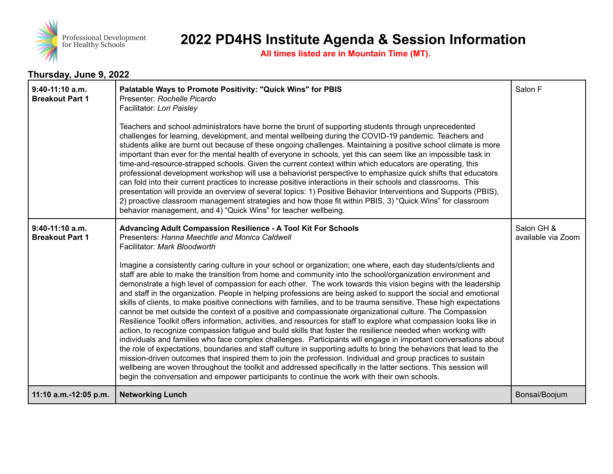

**All times listed are in Mountain Time (MT).**

### **Thursday, June 9, 2022**

| 9:40-11:10 a.m.<br><b>Breakout Part 1</b> | Palatable Ways to Promote Positivity: "Quick Wins" for PBIS<br>Presenter: Rochelle Picardo<br>Facilitator: Lori Paisley<br>Teachers and school administrators have borne the brunt of supporting students through unprecedented<br>challenges for learning, development, and mental wellbeing during the COVID-19 pandemic. Teachers and<br>students alike are burnt out because of these ongoing challenges. Maintaining a positive school climate is more<br>important than ever for the mental health of everyone in schools, yet this can seem like an impossible task in<br>time-and-resource-strapped schools. Given the current context within which educators are operating, this<br>professional development workshop will use a behaviorist perspective to emphasize quick shifts that educators<br>can fold into their current practices to increase positive interactions in their schools and classrooms. This<br>presentation will provide an overview of several topics: 1) Positive Behavior Interventions and Supports (PBIS),<br>2) proactive classroom management strategies and how those fit within PBIS, 3) "Quick Wins" for classroom<br>behavior management, and 4) "Quick Wins" for teacher wellbeing.                                                                                                                                                                                                                                                                                                                                                                                                                                                     | Salon F                          |
|-------------------------------------------|-------------------------------------------------------------------------------------------------------------------------------------------------------------------------------------------------------------------------------------------------------------------------------------------------------------------------------------------------------------------------------------------------------------------------------------------------------------------------------------------------------------------------------------------------------------------------------------------------------------------------------------------------------------------------------------------------------------------------------------------------------------------------------------------------------------------------------------------------------------------------------------------------------------------------------------------------------------------------------------------------------------------------------------------------------------------------------------------------------------------------------------------------------------------------------------------------------------------------------------------------------------------------------------------------------------------------------------------------------------------------------------------------------------------------------------------------------------------------------------------------------------------------------------------------------------------------------------------------------------------------------------------------------------------------------------|----------------------------------|
| 9:40-11:10 a.m.<br><b>Breakout Part 1</b> | <b>Advancing Adult Compassion Resilience - A Tool Kit For Schools</b><br>Presenters: Hanna Maechtle and Monica Caldwell<br>Facilitator: Mark Bloodworth<br>Imagine a consistently caring culture in your school or organization; one where, each day students/clients and<br>staff are able to make the transition from home and community into the school/organization environment and<br>demonstrate a high level of compassion for each other. The work towards this vision begins with the leadership<br>and staff in the organization. People in helping professions are being asked to support the social and emotional<br>skills of clients, to make positive connections with families, and to be trauma sensitive. These high expectations<br>cannot be met outside the context of a positive and compassionate organizational culture. The Compassion<br>Resilience Toolkit offers information, activities, and resources for staff to explore what compassion looks like in<br>action, to recognize compassion fatigue and build skills that foster the resilience needed when working with<br>individuals and families who face complex challenges. Participants will engage in important conversations about<br>the role of expectations, boundaries and staff culture in supporting adults to bring the behaviors that lead to the<br>mission-driven outcomes that inspired them to join the profession. Individual and group practices to sustain<br>wellbeing are woven throughout the toolkit and addressed specifically in the latter sections. This session will<br>begin the conversation and empower participants to continue the work with their own schools. | Salon GH &<br>available via Zoom |
| 11:10 a.m.-12:05 p.m.                     | <b>Networking Lunch</b>                                                                                                                                                                                                                                                                                                                                                                                                                                                                                                                                                                                                                                                                                                                                                                                                                                                                                                                                                                                                                                                                                                                                                                                                                                                                                                                                                                                                                                                                                                                                                                                                                                                             | Bonsai/Boojum                    |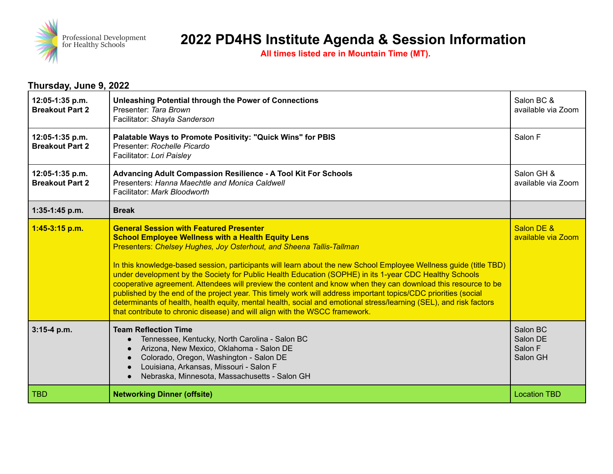

**All times listed are in Mountain Time (MT).**

#### **Thursday, June 9, 2022 12:05-1:35 p.m. Breakout Part 2 Unleashing Potential through the Power of Connections** Presenter: *Tara Brown* Facilitator: *Shayla Sanderson* Salon BC & available via Zoom **12:05-1:35 p.m. Breakout Part 2 Palatable Ways to Promote Positivity: "Quick Wins" for PBIS** Presenter: *Rochelle Picardo* Facilitator: *Lori Paisley* Salon F **12:05-1:35 p.m. Breakout Part 2 Advancing Adult Compassion Resilience - A Tool Kit For Schools** Presenters: *Hanna Maechtle and Monica Caldwell* Facilitator: *Mark Bloodworth* Salon GH & available via Zoom **1:35-1:45 p.m. Break 1:45-3:15 p.m. General Session with Featured Presenter School Employee Wellness with a Health Equity Lens** Presenters: *Chelsey Hughes, Joy Osterhout, and Sheena Tallis-Tallman* In this knowledge-based session, participants will learn about the new School Employee Wellness guide (title TBD) under development by the Society for Public Health Education (SOPHE) in its 1-year CDC Healthy Schools cooperative agreement. Attendees will preview the content and know when they can download this resource to be published by the end of the project year. This timely work will address important topics/CDC priorities (social determinants of health, health equity, mental health, social and emotional stress/learning (SEL), and risk factors that contribute to chronic disease) and will align with the WSCC framework. Salon DE & available via Zoom **3:15-4 p.m. Team Reflection Time** ● Tennessee, Kentucky, North Carolina - Salon BC Arizona, New Mexico, Oklahoma - Salon DE ● Colorado, Oregon, Washington - Salon DE ● Louisiana, Arkansas, Missouri - Salon F ● Nebraska, Minnesota, Massachusetts - Salon GH Salon BC Salon DE Salon F Salon GH TBD **Networking Dinner (offsite)** Location TBD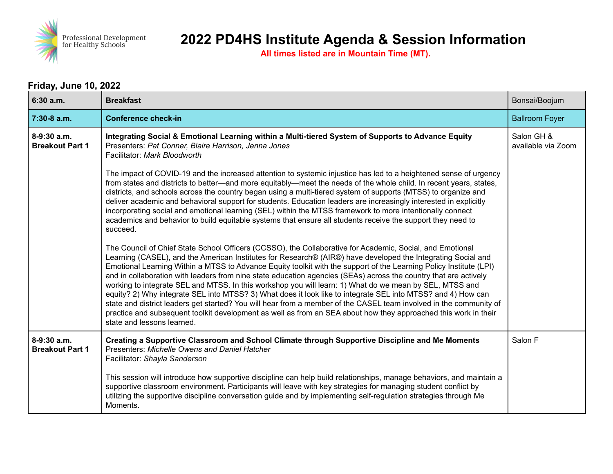

**All times listed are in Mountain Time (MT).**

## **Friday, June 10, 2022**

| 6:30 a.m.                               | <b>Breakfast</b>                                                                                                                                                                                                                                                                                                                                                                                                                                                                                                                                                                                                                                                                                                                                                                                                                                                                                                                                                      | Bonsai/Boojum                    |
|-----------------------------------------|-----------------------------------------------------------------------------------------------------------------------------------------------------------------------------------------------------------------------------------------------------------------------------------------------------------------------------------------------------------------------------------------------------------------------------------------------------------------------------------------------------------------------------------------------------------------------------------------------------------------------------------------------------------------------------------------------------------------------------------------------------------------------------------------------------------------------------------------------------------------------------------------------------------------------------------------------------------------------|----------------------------------|
| 7:30-8 a.m.                             | <b>Conference check-in</b>                                                                                                                                                                                                                                                                                                                                                                                                                                                                                                                                                                                                                                                                                                                                                                                                                                                                                                                                            | <b>Ballroom Foyer</b>            |
| 8-9:30 a.m.<br><b>Breakout Part 1</b>   | Integrating Social & Emotional Learning within a Multi-tiered System of Supports to Advance Equity<br>Presenters: Pat Conner, Blaire Harrison, Jenna Jones<br>Facilitator: Mark Bloodworth                                                                                                                                                                                                                                                                                                                                                                                                                                                                                                                                                                                                                                                                                                                                                                            | Salon GH &<br>available via Zoom |
|                                         | The impact of COVID-19 and the increased attention to systemic injustice has led to a heightened sense of urgency<br>from states and districts to better—and more equitably—meet the needs of the whole child. In recent years, states,<br>districts, and schools across the country began using a multi-tiered system of supports (MTSS) to organize and<br>deliver academic and behavioral support for students. Education leaders are increasingly interested in explicitly<br>incorporating social and emotional learning (SEL) within the MTSS framework to more intentionally connect<br>academics and behavior to build equitable systems that ensure all students receive the support they need to<br>succeed.                                                                                                                                                                                                                                                |                                  |
|                                         | The Council of Chief State School Officers (CCSSO), the Collaborative for Academic, Social, and Emotional<br>Learning (CASEL), and the American Institutes for Research® (AIR®) have developed the Integrating Social and<br>Emotional Learning Within a MTSS to Advance Equity toolkit with the support of the Learning Policy Institute (LPI)<br>and in collaboration with leaders from nine state education agencies (SEAs) across the country that are actively<br>working to integrate SEL and MTSS. In this workshop you will learn: 1) What do we mean by SEL, MTSS and<br>equity? 2) Why integrate SEL into MTSS? 3) What does it look like to integrate SEL into MTSS? and 4) How can<br>state and district leaders get started? You will hear from a member of the CASEL team involved in the community of<br>practice and subsequent toolkit development as well as from an SEA about how they approached this work in their<br>state and lessons learned. |                                  |
| $8-9:30$ a.m.<br><b>Breakout Part 1</b> | Creating a Supportive Classroom and School Climate through Supportive Discipline and Me Moments<br>Presenters: Michelle Owens and Daniel Hatcher<br>Facilitator: Shayla Sanderson<br>This session will introduce how supportive discipline can help build relationships, manage behaviors, and maintain a<br>supportive classroom environment. Participants will leave with key strategies for managing student conflict by                                                                                                                                                                                                                                                                                                                                                                                                                                                                                                                                           | Salon F                          |
|                                         | utilizing the supportive discipline conversation guide and by implementing self-regulation strategies through Me<br>Moments.                                                                                                                                                                                                                                                                                                                                                                                                                                                                                                                                                                                                                                                                                                                                                                                                                                          |                                  |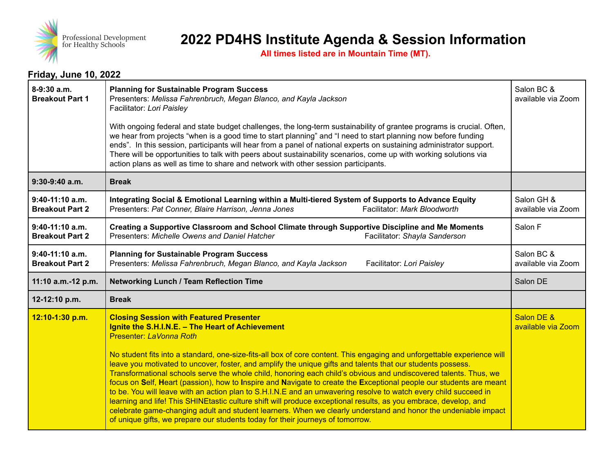

**All times listed are in Mountain Time (MT).**

#### **Friday, June 10, 2022**

| 8-9:30 a.m.<br><b>Breakout Part 1</b>       | <b>Planning for Sustainable Program Success</b><br>Presenters: Melissa Fahrenbruch, Megan Blanco, and Kayla Jackson<br>Facilitator: Lori Paisley<br>With ongoing federal and state budget challenges, the long-term sustainability of grantee programs is crucial. Often,                                                                                                                                                                                                                                                                                                                                                                                                                                                                                                                                                                                                                                                                                                                                                                                      | Salon BC &<br>available via Zoom |
|---------------------------------------------|----------------------------------------------------------------------------------------------------------------------------------------------------------------------------------------------------------------------------------------------------------------------------------------------------------------------------------------------------------------------------------------------------------------------------------------------------------------------------------------------------------------------------------------------------------------------------------------------------------------------------------------------------------------------------------------------------------------------------------------------------------------------------------------------------------------------------------------------------------------------------------------------------------------------------------------------------------------------------------------------------------------------------------------------------------------|----------------------------------|
|                                             | we hear from projects "when is a good time to start planning" and "I need to start planning now before funding<br>ends". In this session, participants will hear from a panel of national experts on sustaining administrator support.<br>There will be opportunities to talk with peers about sustainability scenarios, come up with working solutions via<br>action plans as well as time to share and network with other session participants.                                                                                                                                                                                                                                                                                                                                                                                                                                                                                                                                                                                                              |                                  |
| 9:30-9:40 a.m.                              | <b>Break</b>                                                                                                                                                                                                                                                                                                                                                                                                                                                                                                                                                                                                                                                                                                                                                                                                                                                                                                                                                                                                                                                   |                                  |
| $9:40-11:10$ a.m.<br><b>Breakout Part 2</b> | Integrating Social & Emotional Learning within a Multi-tiered System of Supports to Advance Equity<br>Facilitator: Mark Bloodworth<br>Presenters: Pat Conner, Blaire Harrison, Jenna Jones                                                                                                                                                                                                                                                                                                                                                                                                                                                                                                                                                                                                                                                                                                                                                                                                                                                                     | Salon GH &<br>available via Zoom |
| 9:40-11:10 a.m.<br><b>Breakout Part 2</b>   | Creating a Supportive Classroom and School Climate through Supportive Discipline and Me Moments<br>Presenters: Michelle Owens and Daniel Hatcher<br>Facilitator: Shayla Sanderson                                                                                                                                                                                                                                                                                                                                                                                                                                                                                                                                                                                                                                                                                                                                                                                                                                                                              | Salon F                          |
| $9:40-11:10$ a.m.<br><b>Breakout Part 2</b> | <b>Planning for Sustainable Program Success</b><br>Presenters: Melissa Fahrenbruch, Megan Blanco, and Kayla Jackson<br>Facilitator: Lori Paisley                                                                                                                                                                                                                                                                                                                                                                                                                                                                                                                                                                                                                                                                                                                                                                                                                                                                                                               | Salon BC &<br>available via Zoom |
| 11:10 a.m.-12 p.m.                          | <b>Networking Lunch / Team Reflection Time</b>                                                                                                                                                                                                                                                                                                                                                                                                                                                                                                                                                                                                                                                                                                                                                                                                                                                                                                                                                                                                                 | Salon DE                         |
| 12-12:10 p.m.                               | <b>Break</b>                                                                                                                                                                                                                                                                                                                                                                                                                                                                                                                                                                                                                                                                                                                                                                                                                                                                                                                                                                                                                                                   |                                  |
| 12:10-1:30 p.m.                             | <b>Closing Session with Featured Presenter</b><br>Ignite the S.H.I.N.E. - The Heart of Achievement<br>Presenter: LaVonna Roth<br>No student fits into a standard, one-size-fits-all box of core content. This engaging and unforgettable experience will<br>leave you motivated to uncover, foster, and amplify the unique gifts and talents that our students possess.<br>Transformational schools serve the whole child, honoring each child's obvious and undiscovered talents. Thus, we<br>focus on Self, Heart (passion), how to Inspire and Navigate to create the Exceptional people our students are meant<br>to be. You will leave with an action plan to S.H.I.N.E and an unwavering resolve to watch every child succeed in<br>learning and life! This SHINEtastic culture shift will produce exceptional results, as you embrace, develop, and<br>celebrate game-changing adult and student learners. When we clearly understand and honor the undeniable impact<br>of unique gifts, we prepare our students today for their journeys of tomorrow. | Salon DE &<br>available via Zoom |